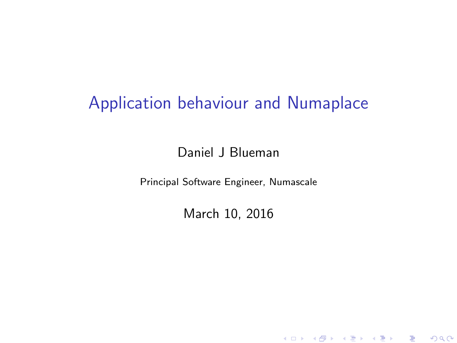# Application behaviour and Numaplace

Daniel J Blueman

Principal Software Engineer, Numascale

March 10, 2016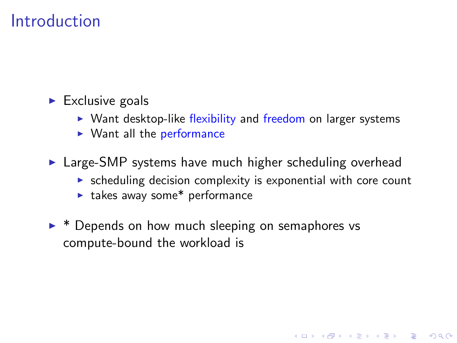### Introduction

- $\blacktriangleright$  Exclusive goals
	- $\triangleright$  Want desktop-like flexibility and freedom on larger systems
	- $\blacktriangleright$  Want all the performance
- $\triangleright$  Large-SMP systems have much higher scheduling overhead
	- $\triangleright$  scheduling decision complexity is exponential with core count

**K ロ ▶ K @ ▶ K 할 X X 할 X → 할 X → 9 Q Q ^** 

- $\blacktriangleright$  takes away some\* performance
- $\triangleright$  \* Depends on how much sleeping on semaphores vs compute-bound the workload is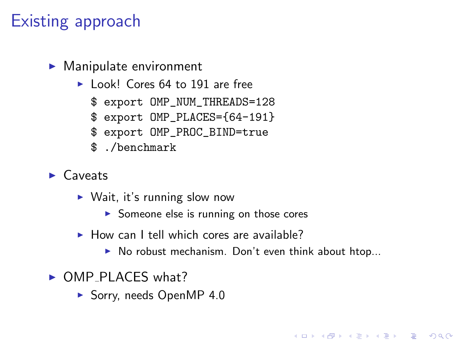## Existing approach

- $\blacktriangleright$  Manipulate environment
	- ► Look! Cores 64 to 191 are free
		- \$ export OMP\_NUM\_THREADS=128
		- \$ export OMP\_PLACES={64-191}
		- \$ export OMP\_PROC\_BIND=true
		- \$ ./benchmark
- $\blacktriangleright$  Caveats
	- $\triangleright$  Wait, it's running slow now
		- $\triangleright$  Someone else is running on those cores
	- $\triangleright$  How can I tell which cores are available?
		- $\triangleright$  No robust mechanism. Don't even think about htop...

**KORK ERKER ADE YOUR** 

- $\triangleright$  OMP PLACES what?
	- $\blacktriangleright$  Sorry, needs OpenMP 4.0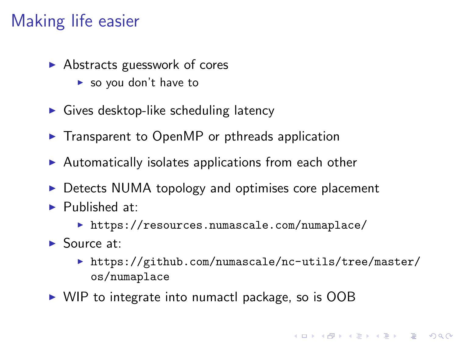# Making life easier

- $\blacktriangleright$  Abstracts guesswork of cores
	- $\blacktriangleright$  so you don't have to
- $\triangleright$  Gives desktop-like scheduling latency
- $\triangleright$  Transparent to OpenMP or pthreads application
- $\blacktriangleright$  Automatically isolates applications from each other
- $\triangleright$  Detects NUMA topology and optimises core placement
- $\blacktriangleright$  Published at:
	- $\triangleright$  <https://resources.numascale.com/numaplace/>
- $\blacktriangleright$  Source at:
	- [https://github.com/numascale/nc-utils/tree/master/](https://github.com/numascale/nc-utils/tree/master/os/numaplace) [os/numaplace](https://github.com/numascale/nc-utils/tree/master/os/numaplace)

**K ロ ▶ K @ ▶ K 할 X X 할 X → 할 X → 9 Q Q ^** 

 $\triangleright$  WIP to integrate into numactl package, so is OOB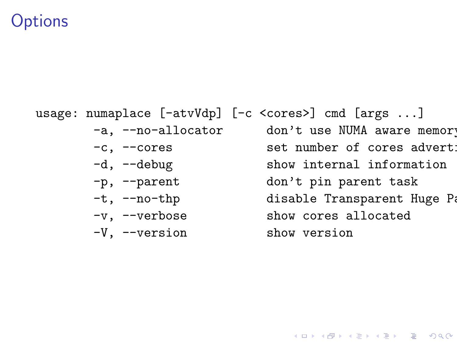### **Options**

usage: numaplace [-atvVdp] [-c <cores>] cmd [args ...]

- 
- 
- 
- 
- 
- -V, --version show version

-a, --no-allocator don't use NUMA aware memory -c, --cores set number of cores adverti -d, --debug show internal information -p, --parent don't pin parent task -t, --no-thp disable Transparent Huge Pages -v, --verbose show cores allocated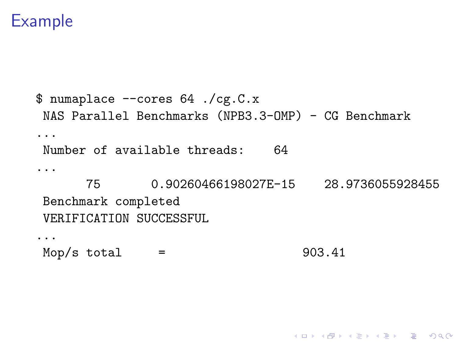## Example

```
$ numaplace --cores 64 ./cg.C.x
NAS Parallel Benchmarks (NPB3.3-OMP) - CG Benchmark
...
Number of available threads: 64
...
      75 0.90260466198027E-15 28.9736055928455
Benchmark completed
VERIFICATION SUCCESSFUL
...
Mop/s total = 903.41
```
K ロ ▶ K @ ▶ K 할 > K 할 > 1 할 > 1 이익어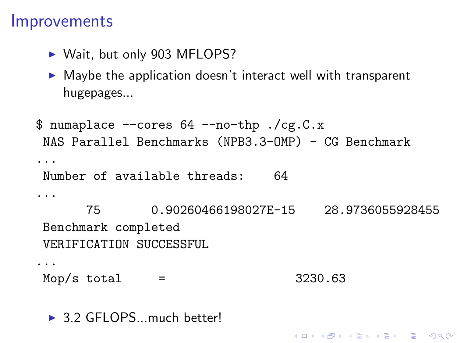#### **Improvements**

- ▶ Wait, but only 903 MFLOPS?
- $\triangleright$  Maybe the application doesn't interact well with transparent hugepages...

```
$ numaplace --cores 64 --no-thp ./cg.C.x
NAS Parallel Benchmarks (NPB3.3-OMP) - CG Benchmark
...
Number of available threads: 64
...
      75 0.90260466198027E-15 28.9736055928455
Benchmark completed
VERIFICATION SUCCESSFUL
...
Mop/s total = 3230.63
```
**KORK ERKER ADE YOUR** 

 $\triangleright$  3.2 GFLOPS... much better!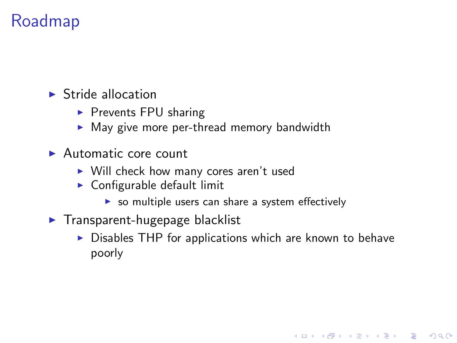## Roadmap

 $\blacktriangleright$  Stride allocation

- $\triangleright$  Prevents FPU sharing
- $\triangleright$  May give more per-thread memory bandwidth
- $\blacktriangleright$  Automatic core count
	- $\triangleright$  Will check how many cores aren't used
	- $\triangleright$  Configurable default limit
		- $\triangleright$  so multiple users can share a system effectively
- $\blacktriangleright$  Transparent-hugepage blacklist
	- $\triangleright$  Disables THP for applications which are known to behave poorly

**KORKA SERKER ORA**